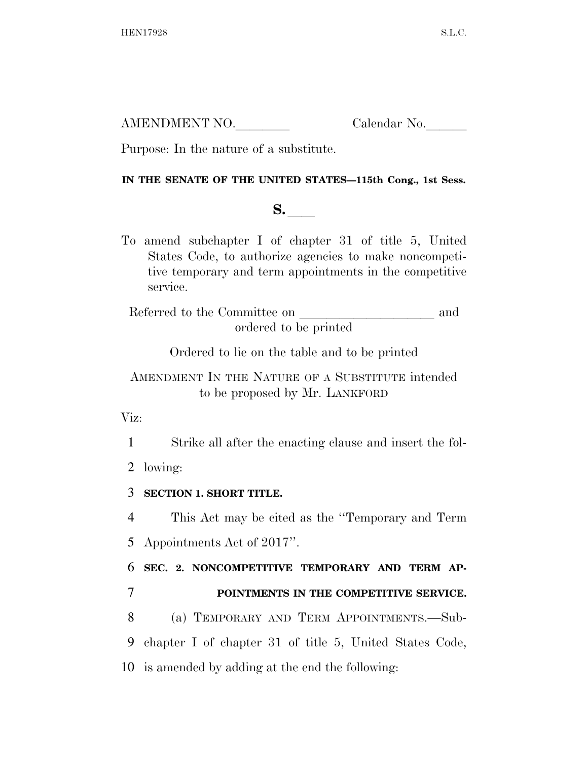AMENDMENT NO. Calendar No.

Purpose: In the nature of a substitute.

## **IN THE SENATE OF THE UNITED STATES—115th Cong., 1st Sess.**

## **S.**  $\blacksquare$

To amend subchapter I of chapter 31 of title 5, United States Code, to authorize agencies to make noncompetitive temporary and term appointments in the competitive service.

Referred to the Committee on and ordered to be printed

Ordered to lie on the table and to be printed

AMENDMENT IN THE NATURE OF A SUBSTITUTE intended to be proposed by Mr. LANKFORD

Viz:

1 Strike all after the enacting clause and insert the fol-

2 lowing:

3 **SECTION 1. SHORT TITLE.** 

4 This Act may be cited as the ''Temporary and Term 5 Appointments Act of 2017''.

6 **SEC. 2. NONCOMPETITIVE TEMPORARY AND TERM AP-**

7 **POINTMENTS IN THE COMPETITIVE SERVICE.** 

8 (a) TEMPORARY AND TERM APPOINTMENTS.—Sub-9 chapter I of chapter 31 of title 5, United States Code, 10 is amended by adding at the end the following: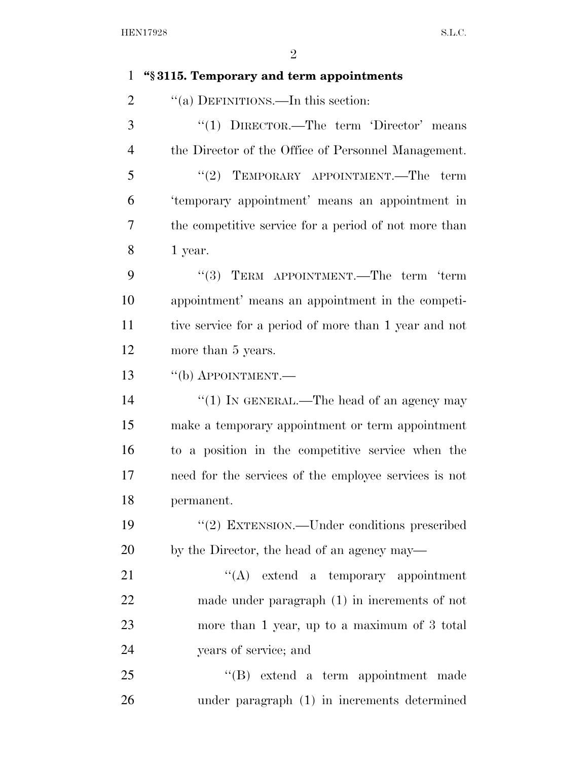## **''§ 3115. Temporary and term appointments**  2 "(a) DEFINITIONS.—In this section: ''(1) DIRECTOR.—The term 'Director' means the Director of the Office of Personnel Management. 5 "(2) TEMPORARY APPOINTMENT.—The term 'temporary appointment' means an appointment in the competitive service for a period of not more than 1 year. 9 "(3) TERM APPOINTMENT.—The term 'term appointment' means an appointment in the competi- tive service for a period of more than 1 year and not more than 5 years. 13 "(b) APPOINTMENT.— 14 ''(1) IN GENERAL.—The head of an agency may make a temporary appointment or term appointment to a position in the competitive service when the need for the services of the employee services is not permanent. 19 "(2) EXTENSION.—Under conditions prescribed by the Director, the head of an agency may— 21 ''(A) extend a temporary appointment made under paragraph (1) in increments of not more than 1 year, up to a maximum of 3 total years of service; and ''(B) extend a term appointment made under paragraph (1) in increments determined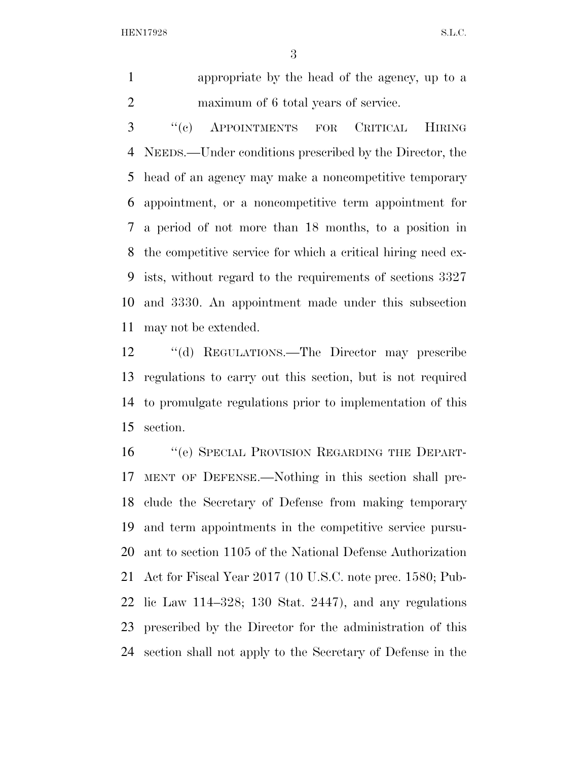HEN17928 S.L.C.

 appropriate by the head of the agency, up to a maximum of 6 total years of service.

 ''(c) APPOINTMENTS FOR CRITICAL HIRING NEEDS.—Under conditions prescribed by the Director, the head of an agency may make a noncompetitive temporary appointment, or a noncompetitive term appointment for a period of not more than 18 months, to a position in the competitive service for which a critical hiring need ex- ists, without regard to the requirements of sections 3327 and 3330. An appointment made under this subsection may not be extended.

 ''(d) REGULATIONS.—The Director may prescribe regulations to carry out this section, but is not required to promulgate regulations prior to implementation of this section.

16 "(e) SPECIAL PROVISION REGARDING THE DEPART- MENT OF DEFENSE.—Nothing in this section shall pre- clude the Secretary of Defense from making temporary and term appointments in the competitive service pursu- ant to section 1105 of the National Defense Authorization Act for Fiscal Year 2017 (10 U.S.C. note prec. 1580; Pub- lic Law 114–328; 130 Stat. 2447), and any regulations prescribed by the Director for the administration of this section shall not apply to the Secretary of Defense in the